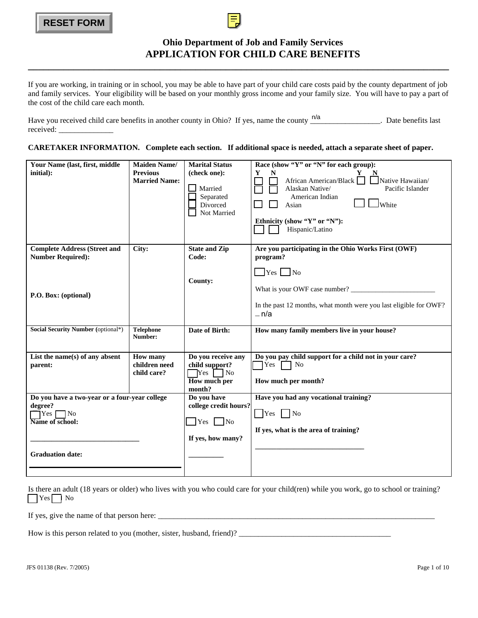

# **Ohio Department of Job and Family Services APPLICATION FOR CHILD CARE BENEFITS**

# **CARETAKER INFORMATION. Complete each section. If additional space is needed, attach a separate sheet of paper.**

| <b>RESET FORM</b>                                                                                                              |                                                                |                                                                                                |                                                                                                                                                                                                                                                                                   |  |  |
|--------------------------------------------------------------------------------------------------------------------------------|----------------------------------------------------------------|------------------------------------------------------------------------------------------------|-----------------------------------------------------------------------------------------------------------------------------------------------------------------------------------------------------------------------------------------------------------------------------------|--|--|
| <b>Ohio Department of Job and Family Services</b><br><b>APPLICATION FOR CHILD CARE BENEFITS</b>                                |                                                                |                                                                                                |                                                                                                                                                                                                                                                                                   |  |  |
| the cost of the child care each month.                                                                                         |                                                                |                                                                                                | If you are working, in training or in school, you may be able to have part of your child care costs paid by the county department of job<br>and family services. Your eligibility will be based on your monthly gross income and your family size. You will have to pay a part of |  |  |
|                                                                                                                                |                                                                |                                                                                                | Have you received child care benefits in another county in Ohio? If yes, name the county $\frac{n}{a}$ $\frac{n}{a}$ . Date benefits last                                                                                                                                         |  |  |
|                                                                                                                                |                                                                |                                                                                                | CARETAKER INFORMATION. Complete each section. If additional space is needed, attach a separate sheet of paper.                                                                                                                                                                    |  |  |
| Your Name (last, first, middle<br>initial):                                                                                    | <b>Maiden Name/</b><br><b>Previous</b><br><b>Married Name:</b> | <b>Marital Status</b><br>(check one):<br>Married<br>Separated<br>Divorced<br>Not Married       | Race (show "Y" or "N" for each group):<br>$\mathbf N$<br>Y<br>African American/Black Native Hawaiian/<br>Alaskan Native/<br>Pacific Islander<br>American Indian<br>$\Box$ White<br>Asian<br>Ethnicity (show "Y" or "N"):<br>Hispanic/Latino                                       |  |  |
| <b>Complete Address (Street and</b><br><b>Number Required):</b><br>P.O. Box: (optional)                                        | City:                                                          | <b>State and Zip</b><br>Code:<br>County:                                                       | Are you participating in the Ohio Works First (OWF)<br>program?<br>$Yes$ No<br>In the past 12 months, what month were you last eligible for OWF?<br>$- n/a$                                                                                                                       |  |  |
| Social Security Number (optional*)                                                                                             | <b>Telephone</b><br>Number:                                    | Date of Birth:                                                                                 | How many family members live in your house?                                                                                                                                                                                                                                       |  |  |
| List the name(s) of any absent<br>parent:                                                                                      | <b>How many</b><br>children need<br>child care?                | Do you receive any<br>child support?<br>$Yes \frown No$<br>$\overline{How}$ much per<br>month? | Do you pay child support for a child not in your care?<br>Yes<br>No<br>How much per month?                                                                                                                                                                                        |  |  |
| Do you have a two-year or a four-year college<br>degree?<br>$\bigcap$ Yes<br> No<br>Name of school:<br><b>Graduation date:</b> |                                                                | Do you have<br>college credit hours?<br>$\gamma$ es $\Box$ No<br>If yes, how many?             | Have you had any vocational training?<br>$\bigcap$ Yes $\bigcap$ No<br>If yes, what is the area of training?                                                                                                                                                                      |  |  |
|                                                                                                                                |                                                                |                                                                                                |                                                                                                                                                                                                                                                                                   |  |  |

Is there an adult (18 years or older) who lives with you who could care for your child(ren) while you work, go to school or training?  $\Box$  Yes  $\Box$  No

If yes, give the name of that person here: \_\_\_\_\_\_\_\_\_\_\_\_\_\_\_\_\_\_\_\_\_\_\_\_\_\_\_\_\_\_\_\_\_\_\_\_\_\_\_\_\_\_\_\_\_\_\_\_\_\_\_\_\_\_\_\_\_\_\_\_\_\_\_\_\_\_\_\_\_\_\_

How is this person related to you (mother, sister, husband, friend)? \_\_\_\_\_\_\_\_\_\_\_\_\_\_\_\_\_\_\_\_\_\_\_\_\_\_\_\_\_\_\_\_\_\_\_\_\_\_\_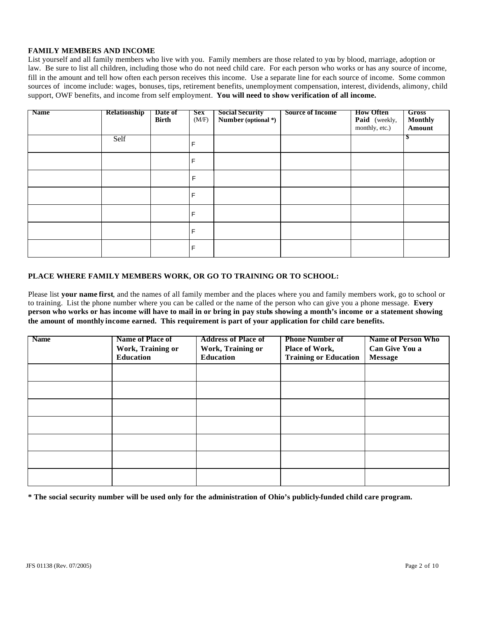## **FAMILY MEMBERS AND INCOME**

List yourself and all family members who live with you. Family members are those related to you by blood, marriage, adoption or law. Be sure to list all children, including those who do not need child care. For each person who works or has any source of income, fill in the amount and tell how often each person receives this income. Use a separate line for each source of income. Some common sources of income include: wages, bonuses, tips, retirement benefits, unemployment compensation, interest, dividends, alimony, child support, OWF benefits, and income from self employment. **You will need to show verification of all income.**

| <b>Name</b> | <b>Relationship</b> | Date of<br><b>Birth</b> | Sex<br>(M/F) | <b>Social Security</b><br>Number (optional *) | <b>Source of Income</b> | <b>How Often</b><br>Paid (weekly,<br>monthly, etc.) | Gross<br><b>Monthly</b><br>Amount |
|-------------|---------------------|-------------------------|--------------|-----------------------------------------------|-------------------------|-----------------------------------------------------|-----------------------------------|
|             | Self                |                         | F            |                                               |                         |                                                     | ъ                                 |
|             |                     |                         | F            |                                               |                         |                                                     |                                   |
|             |                     |                         | F            |                                               |                         |                                                     |                                   |
|             |                     |                         | F            |                                               |                         |                                                     |                                   |
|             |                     |                         | F            |                                               |                         |                                                     |                                   |
|             |                     |                         | F            |                                               |                         |                                                     |                                   |
|             |                     |                         | F            |                                               |                         |                                                     |                                   |

## **PLACE WHERE FAMILY MEMBERS WORK, OR GO TO TRAINING OR TO SCHOOL:**

Please list **your name first**, and the names of all family member and the places where you and family members work, go to school or to training. List the phone number where you can be called or the name of the person who can give you a phone message. **Every person who works or has income will have to mail in or bring in pay stubs showing a month's income or a statement showing the amount of monthly income earned. This requirement is part of your application for child care benefits.**

| <b>Name</b> | <b>Name of Place of</b> | <b>Address of Place of</b> | <b>Phone Number of</b>       | <b>Name of Person Who</b> |
|-------------|-------------------------|----------------------------|------------------------------|---------------------------|
|             | Work, Training or       | Work, Training or          | Place of Work,               | Can Give You a            |
|             | <b>Education</b>        | <b>Education</b>           | <b>Training or Education</b> | <b>Message</b>            |
|             |                         |                            |                              |                           |
|             |                         |                            |                              |                           |
|             |                         |                            |                              |                           |
|             |                         |                            |                              |                           |
|             |                         |                            |                              |                           |
|             |                         |                            |                              |                           |
|             |                         |                            |                              |                           |

**\* The social security number will be used only for the administration of Ohio's publicly-funded child care program.**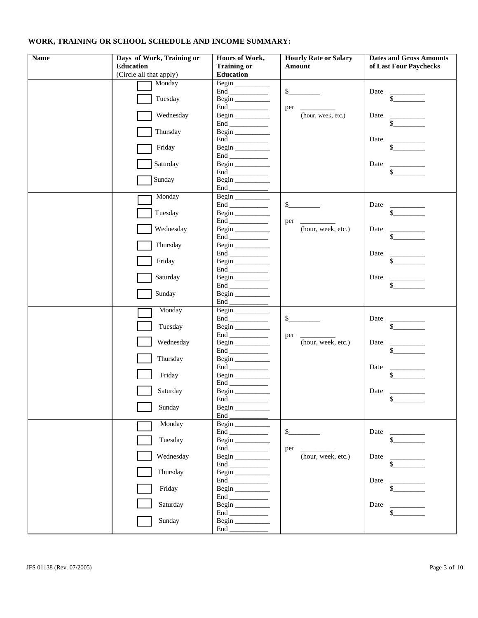# **WORK, TRAINING OR SCHOOL SCHEDULE AND INCOME SUMMARY:**

| <b>Name</b> | Days of Work, Training or | Hours of Work,                     | <b>Hourly Rate or Salary</b> | <b>Dates and Gross Amounts</b>   |
|-------------|---------------------------|------------------------------------|------------------------------|----------------------------------|
|             | <b>Education</b>          | <b>Training or</b>                 | Amount                       | of Last Four Paychecks           |
|             | (Circle all that apply)   | Education                          |                              |                                  |
|             | Monday                    | Begin                              |                              |                                  |
|             |                           |                                    | $S_{-}$                      | Date<br>$\sim$                   |
|             | Tuesday                   | Begin                              |                              |                                  |
|             | Wednesday                 | $\mathsf{End}\xspace$<br>Begin     | per<br>(hour, week, etc.)    | Date                             |
|             |                           |                                    |                              | $\sim$                           |
|             | Thursday                  | Begin                              |                              |                                  |
|             |                           |                                    |                              | Date<br><b>Contract Contract</b> |
|             | Friday                    | Begin                              |                              | $\mathsf{S}$                     |
|             |                           |                                    |                              |                                  |
|             | Saturday                  | Begin                              |                              | Date<br><b>Contract Contract</b> |
|             |                           |                                    |                              | $\mathbb{S}$                     |
|             | Sunday                    | Begin<br>End <u>the second</u>     |                              |                                  |
|             | Monday                    |                                    |                              |                                  |
|             |                           | Begin                              | $S_{-}$                      | Date                             |
|             | Tuesday                   | Begin                              |                              | $\frac{1}{2}$                    |
|             |                           |                                    | per                          |                                  |
|             | Wednesday                 | Begin                              | (hour, week, etc.)           | Date                             |
|             |                           |                                    |                              | $\mathbb{S}$                     |
|             | Thursday                  | Begin                              |                              |                                  |
|             |                           |                                    |                              | Date<br>$\mathbb{S}$             |
|             | Friday                    | Begin $\_\_\_\_\_\_\_\_\_\_\_\_$   |                              |                                  |
|             | Saturday                  | Begin                              |                              | Date                             |
|             |                           | $\mathop{\hbox{\rm End}}\nolimits$ |                              | $\mathbb{S}$                     |
|             | Sunday                    | Begin                              |                              |                                  |
|             |                           |                                    |                              |                                  |
|             | Monday                    |                                    |                              |                                  |
|             |                           | $\mathop{\hbox{\rm End}}\nolimits$ | $S_{-}$                      | Date                             |
|             | Tuesday                   | Begin                              |                              | $\mathbb{S}$                     |
|             | Wednesday                 |                                    | per<br>(hour, week, etc.)    | Date                             |
|             |                           | Begin<br>$\mathsf{End}\xspace$     |                              | \$                               |
|             | Thursday                  | Begin                              |                              |                                  |
|             |                           |                                    |                              | Date                             |
|             | Friday                    | Begin                              |                              | $\mathbb{S}$                     |
|             |                           |                                    |                              |                                  |
|             | Saturday                  | Begin                              |                              | Date                             |
|             | Sunday                    | End<br>Begin                       |                              | \$                               |
|             |                           |                                    |                              |                                  |
|             | Monday                    | Begin                              |                              |                                  |
|             |                           |                                    | $S$ <sub>_</sub>             | Date                             |
|             | Tuesday                   | Begin                              |                              | \$                               |
|             |                           |                                    | per                          |                                  |
|             | Wednesday                 | Begin                              | (hour, week, etc.)           | Date                             |
|             | Thursday                  |                                    |                              |                                  |
|             |                           | Begin                              |                              | Date                             |
|             | Friday                    |                                    |                              | \$                               |
|             |                           | $\mathop{\hbox{\rm End}}\nolimits$ |                              |                                  |
|             | Saturday                  | Begin                              |                              | Date                             |
|             |                           |                                    |                              |                                  |
|             | Sunday                    | Begin                              |                              |                                  |
|             |                           |                                    |                              |                                  |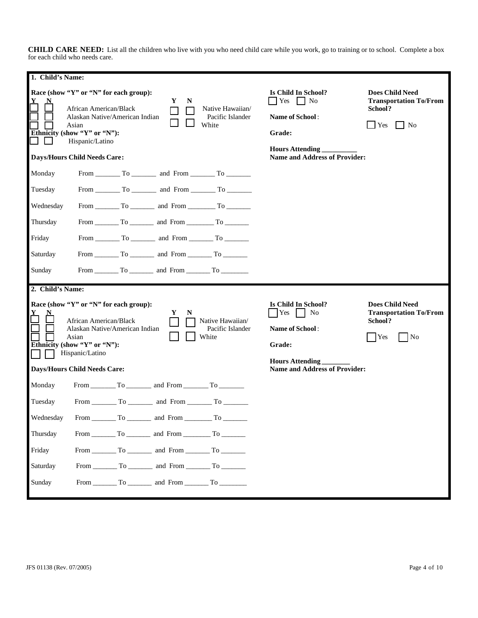**CHILD CARE NEED:** List all the children who live with you who need child care while you work, go to training or to school. Complete a box for each child who needs care.

| 1. Child's Name: |                                                                                                                                                                       |    |                  |                                                 |                                                                                                            |                                                                                                          |
|------------------|-----------------------------------------------------------------------------------------------------------------------------------------------------------------------|----|------------------|-------------------------------------------------|------------------------------------------------------------------------------------------------------------|----------------------------------------------------------------------------------------------------------|
|                  | Race (show "Y" or "N" for each group):<br>African American/Black<br>Alaskan Native/American Indian<br>Asian<br>Ethnicity (show "Y" or "N"):<br>Hispanic/Latino        |    | Y<br>N<br>$\Box$ | Native Hawaiian/<br>Pacific Islander<br>White   | Is Child In School?<br>Yes<br>$\vert$   No<br>Name of School:<br>Grade:<br><b>Hours Attending</b>          | <b>Does Child Need</b><br><b>Transportation To/From</b><br>School?<br>$\vert$ Yes<br>$\blacksquare$ No   |
|                  | <b>Days/Hours Child Needs Care:</b>                                                                                                                                   |    |                  |                                                 | <b>Name and Address of Provider:</b>                                                                       |                                                                                                          |
| Monday           |                                                                                                                                                                       |    |                  |                                                 |                                                                                                            |                                                                                                          |
| Tuesday          |                                                                                                                                                                       |    |                  |                                                 |                                                                                                            |                                                                                                          |
| Wednesday        |                                                                                                                                                                       |    |                  |                                                 |                                                                                                            |                                                                                                          |
| Thursday         |                                                                                                                                                                       |    |                  |                                                 |                                                                                                            |                                                                                                          |
| Friday           |                                                                                                                                                                       |    |                  |                                                 |                                                                                                            |                                                                                                          |
| Saturday         |                                                                                                                                                                       |    |                  |                                                 |                                                                                                            |                                                                                                          |
| Sunday           |                                                                                                                                                                       |    |                  |                                                 |                                                                                                            |                                                                                                          |
|                  |                                                                                                                                                                       |    |                  |                                                 |                                                                                                            |                                                                                                          |
| 2. Child's Name: |                                                                                                                                                                       |    |                  |                                                 |                                                                                                            |                                                                                                          |
|                  | Race (show "Y" or "N" for each group):<br><b>African American/Black</b><br>Alaskan Native/American Indian<br>Asian<br>Ethnicity (show "Y" or "N"):<br>Hispanic/Latino |    | Y<br>N           | Native Hawaiian/<br>Pacific Islander<br>White   | Is Child In School?<br>Yes<br>N <sub>0</sub><br><b>Name of School:</b><br>Grade:<br><b>Hours Attending</b> | <b>Does Child Need</b><br><b>Transportation To/From</b><br>School?<br>Yes<br>$\overline{\phantom{a}}$ No |
|                  | <b>Days/Hours Child Needs Care:</b>                                                                                                                                   |    |                  |                                                 | <b>Name and Address of Provider:</b>                                                                       |                                                                                                          |
| Monday           |                                                                                                                                                                       |    |                  |                                                 |                                                                                                            |                                                                                                          |
| Tuesday          |                                                                                                                                                                       |    |                  |                                                 |                                                                                                            |                                                                                                          |
| Wednesday        | From                                                                                                                                                                  | To | and From         | To                                              |                                                                                                            |                                                                                                          |
| Thursday         |                                                                                                                                                                       |    |                  | From $\_\_$ To $\_\_$ and From $\_\_$ To $\_\_$ |                                                                                                            |                                                                                                          |
| Friday           |                                                                                                                                                                       |    |                  |                                                 |                                                                                                            |                                                                                                          |
| Saturday         |                                                                                                                                                                       |    |                  |                                                 |                                                                                                            |                                                                                                          |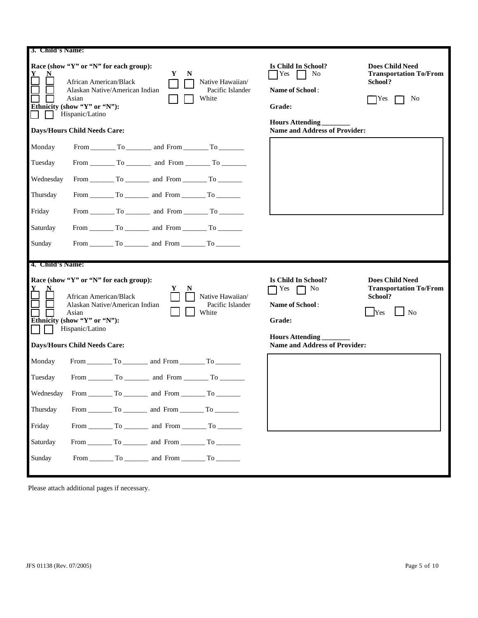| 3. Child's Name:                                                           |                                                                                                                                                                                                       |   |   |                                                                                                                                                                                                                                                                                                                                   |                                                                                                                                                    |                                                                                             |
|----------------------------------------------------------------------------|-------------------------------------------------------------------------------------------------------------------------------------------------------------------------------------------------------|---|---|-----------------------------------------------------------------------------------------------------------------------------------------------------------------------------------------------------------------------------------------------------------------------------------------------------------------------------------|----------------------------------------------------------------------------------------------------------------------------------------------------|---------------------------------------------------------------------------------------------|
|                                                                            | Race (show "Y" or "N" for each group):<br>African American/Black<br>Alaskan Native/American Indian<br>Asian<br>Ethnicity (show "Y" or "N"):<br>Hispanic/Latino<br><b>Days/Hours Child Needs Care:</b> | Y | N | Native Hawaiian/<br>Pacific Islander<br>White                                                                                                                                                                                                                                                                                     | Is Child In School?<br>Yes<br>N <sub>0</sub><br>Name of School:<br>Grade:<br><b>Hours Attending</b><br><b>Name and Address of Provider:</b>        | <b>Does Child Need</b><br><b>Transportation To/From</b><br>School?<br>No<br>Yes             |
| Monday<br>Tuesday<br>Wednesday<br>Thursday<br>Friday<br>Saturday<br>Sunday |                                                                                                                                                                                                       |   |   | From $\begin{tabular}{ c c c c c } \hline \text{From } & \text{To } & \text{and } \text{From } & \text{To } & \text{or} \end{tabular}$<br>From $\begin{array}{c c}\n\hline\n\end{array}$ To $\begin{array}{c c}\n\hline\n\end{array}$ and From $\begin{array}{c}\n\hline\n\end{array}$ To $\begin{array}{c}\n\hline\n\end{array}$ |                                                                                                                                                    |                                                                                             |
|                                                                            |                                                                                                                                                                                                       |   |   |                                                                                                                                                                                                                                                                                                                                   |                                                                                                                                                    |                                                                                             |
| 4. Child's Name:<br>Monday                                                 | Race (show "Y" or "N" for each group):<br>African American/Black<br>Alaskan Native/American Indian<br>Asian<br>Ethnicity (show "Y" or "N"):<br>Hispanic/Latino<br><b>Days/Hours Child Needs Care:</b> |   |   | Native Hawaiian/<br>Pacific Islander<br>White                                                                                                                                                                                                                                                                                     | Is Child In School?<br>Yes<br>N <sub>0</sub><br><b>Name of School:</b><br>Grade:<br><b>Hours Attending</b><br><b>Name and Address of Provider:</b> | <b>Does Child Need</b><br><b>Transportation To/From</b><br>School?<br>N <sub>0</sub><br>Yes |

Please attach additional pages if necessary.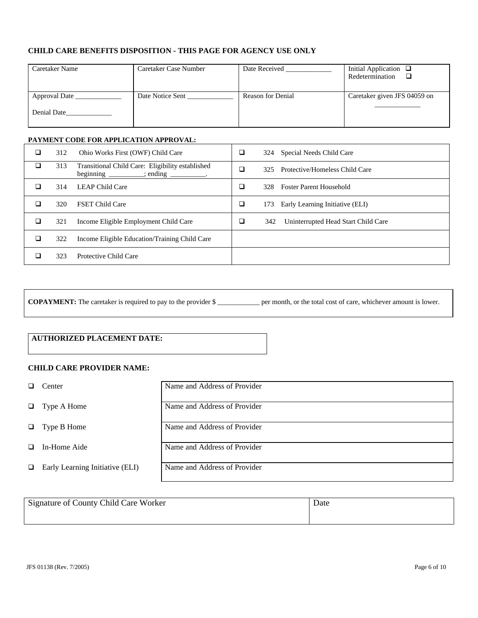# **CHILD CARE BENEFITS DISPOSITION - THIS PAGE FOR AGENCY USE ONLY**

| Caretaker Name               | Caretaker Case Number | Date Received     | Initial Application $\Box$<br>Redetermination<br>□ |
|------------------------------|-----------------------|-------------------|----------------------------------------------------|
| Approval Date<br>Denial Date | Date Notice Sent      | Reason for Denial | Caretaker given JFS 04059 on                       |

## **PAYMENT CODE FOR APPLICATION APPROVAL:**

| ❏ | 312 | Ohio Works First (OWF) Child Care                                               | ❏      | Special Needs Child Care<br>324            |
|---|-----|---------------------------------------------------------------------------------|--------|--------------------------------------------|
| ◻ | 313 | Transitional Child Care: Eligibility established<br>beginning<br>$\cdot$ ending | □      | Protective/Homeless Child Care<br>325      |
| ❏ | 314 | <b>LEAP Child Care</b>                                                          | □      | <b>Foster Parent Household</b><br>328      |
| ⊔ | 320 | <b>FSET Child Care</b>                                                          | $\Box$ | Early Learning Initiative (ELI)<br>173     |
| ◻ | 321 | Income Eligible Employment Child Care                                           | ◻      | Uninterrupted Head Start Child Care<br>342 |
| □ | 322 | Income Eligible Education/Training Child Care                                   |        |                                            |
| □ | 323 | Protective Child Care                                                           |        |                                            |

**COPAYMENT:** The caretaker is required to pay to the provider \$ \_\_\_\_\_\_\_\_\_\_\_\_ per month, or the total cost of care, whichever amount is lower.

# **AUTHORIZED PLACEMENT DATE:**

# **CHILD CARE PROVIDER NAME:**

|        | Center                          | Name and Address of Provider |
|--------|---------------------------------|------------------------------|
|        | $\Box$ Type A Home              | Name and Address of Provider |
|        | $\Box$ Type B Home              | Name and Address of Provider |
| $\Box$ | In-Home Aide                    | Name and Address of Provider |
| $\Box$ | Early Learning Initiative (ELI) | Name and Address of Provider |

| Signature of County Child Care Worker | Date |
|---------------------------------------|------|
|                                       |      |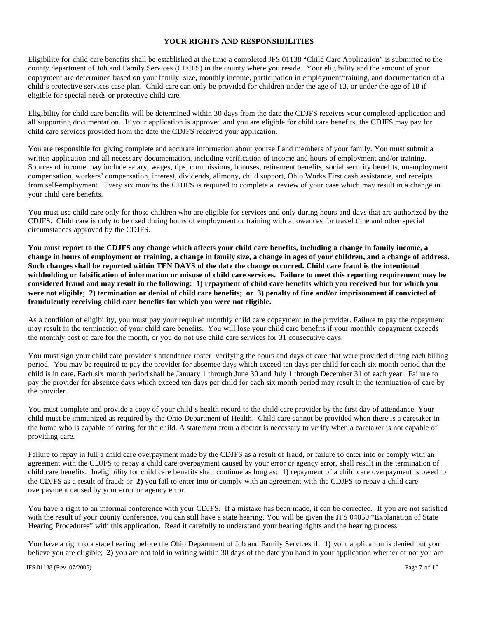### **YOUR RIGHTS AND RESPONSIBILITIES**

Eligibility for child care benefits shall be established at the time a completed JFS 01138 "Child Care Application" is submitted to the county department of Job and Family Services (CDJFS) in the county where you reside. Your eligibility and the amount of your copayment are determined based on your family size, monthly income, participation in employment/training, and documentation of a child's protective services case plan. Child care can only be provided for children under the age of 13, or under the age of 18 if eligible for special needs or protective child care.

Eligibility for child care benefits will be determined within 30 days from the date the CDJFS receives your completed application and all supporting documentation. If your application is approved and you are eligible for child care benefits, the CDJFS may pay for child care services provided from the date the CDJFS received your application.

You are responsible for giving complete and accurate information about yourself and members of your family. You must submit a written application and all necessary documentation, including verification of income and hours of employment and/or training. Sources of income may include salary, wages, tips, commissions, bonuses, retirement benefits, social security benefits, unemployment compensation, workers' compensation, interest, dividends, alimony, child support, Ohio Works First cash assistance, and receipts from self-employment. Every six months the CDJFS is required to complete a review of your case which may result in a change in your child care benefits.

You must use child care only for those children who are eligible for services and only during hours and days that are authorized by the CDJFS. Child care is only to be used during hours of employment or training with allowances for travel time and other special circumstances approved by the CDJFS.

**You must report to the CDJFS any change which affects your child care benefits, including a change in family income, a change in hours of employment or training, a change in family size, a change in ages of your children, and a change of address. Such changes shall be reported within TEN DAYS of the date the change occurred. Child care fraud is the intentional withholding or falsification of information or misuse of child care services. Failure to meet this reporting requirement may be considered fraud and may result in the following: 1) repayment of child care benefits which you received but for which you were not eligible; 2) termination or denial of child care benefits; or 3) penalty of fine and/or imprisonment if convicted of fraudulently receiving child care benefits for which you were not eligible.** 

As a condition of eligibility, you must pay your required monthly child care copayment to the provider. Failure to pay the copayment may result in the termination of your child care benefits. You will lose your child care benefits if your monthly copayment exceeds the monthly cost of care for the month, or you do not use child care services for 31 consecutive days.

You must sign your child care provider's attendance roster verifying the hours and days of care that were provided during each billing period. You may be required to pay the provider for absentee days which exceed ten days per child for each six month period that the child is in care. Each six month period shall be January 1 through June 30 and July 1 through December 31 of each year. Failure to pay the provider for absentee days which exceed ten days per child for each six month period may result in the termination of care by the provider.

You must complete and provide a copy of your child's health record to the child care provider by the first day of attendance. Your child must be immunized as required by the Ohio Department of Health. Child care cannot be provided when there is a caretaker in the home who is capable of caring for the child. A statement from a doctor is necessary to verify when a caretaker is not capable of providing care.

Failure to repay in full a child care overpayment made by the CDJFS as a result of fraud, or failure to enter into or comply with an agreement with the CDJFS to repay a child care overpayment caused by your error or agency error, shall result in the termination of child care benefits. Ineligibility for child care benefits shall continue as long as: **1)** repayment of a child care overpayment is owed to the CDJFS as a result of fraud; or **2)** you fail to enter into or comply with an agreement with the CDJFS to repay a child care overpayment caused by your error or agency error.

You have a right to an informal conference with your CDJFS.If a mistake has been made, it can be corrected. If you are not satisfied with the result of your county conference, you can still have a state hearing. You will be given the JFS 04059 "Explanation of State Hearing Procedures" with this application. Read it carefully to understand your hearing rights and the hearing process.

You have a right to a state hearing before the Ohio Department of Job and Family Services if: **1)** your application is denied but you believe you are eligible; **2)** you are not told in writing within 30 days of the date you hand in your application whether or not you are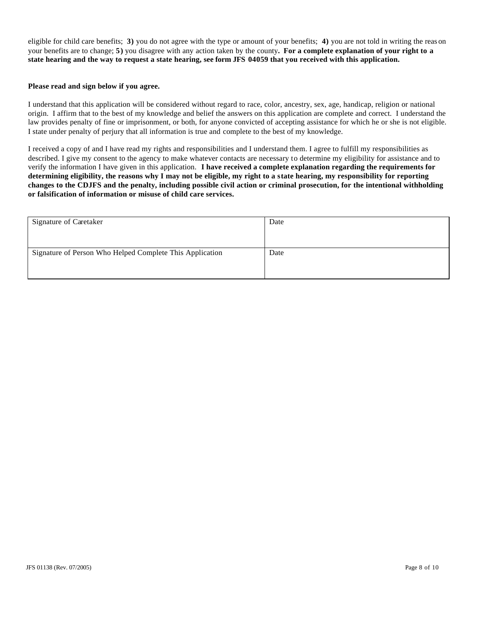eligible for child care benefits; **3)** you do not agree with the type or amount of your benefits; **4)** you are not told in writing the reas on your benefits are to change; **5)** you disagree with any action taken by the county**. For a complete explanation of your right to a state hearing and the way to request a state hearing, see form JFS 04059 that you received with this application.**

#### **Please read and sign below if you agree.**

I understand that this application will be considered without regard to race, color, ancestry, sex, age, handicap, religion or national origin. I affirm that to the best of my knowledge and belief the answers on this application are complete and correct. I understand the law provides penalty of fine or imprisonment, or both, for anyone convicted of accepting assistance for which he or she is not eligible. I state under penalty of perjury that all information is true and complete to the best of my knowledge.

I received a copy of and I have read my rights and responsibilities and I understand them. I agree to fulfill my responsibilities as described. I give my consent to the agency to make whatever contacts are necessary to determine my eligibility for assistance and to verify the information I have given in this application. **I have received a complete explanation regarding the requirements for determining eligibility, the reasons why I may not be eligible, my right to a state hearing, my responsibility for reporting changes to the CDJFS and the penalty, including possible civil action or criminal prosecution, for the intentional withholding or falsification of information or misuse of child care services.**

| Signature of Caretaker                                   | Date |
|----------------------------------------------------------|------|
|                                                          |      |
|                                                          |      |
| Signature of Person Who Helped Complete This Application | Date |
|                                                          |      |
|                                                          |      |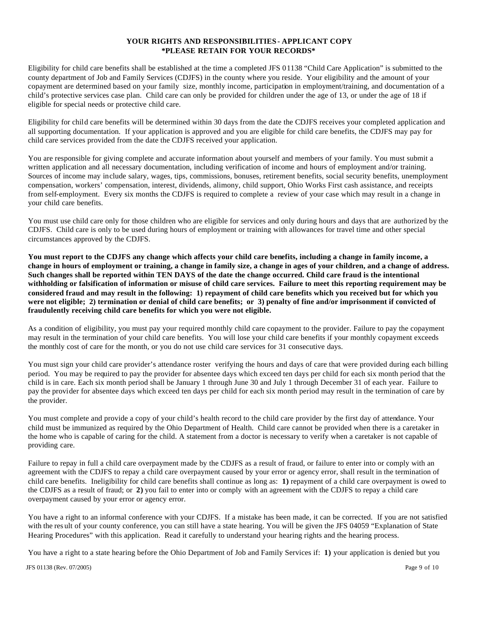# **YOUR RIGHTS AND RESPONSIBILITIES - APPLICANT COPY \*PLEASE RETAIN FOR YOUR RECORDS\***

Eligibility for child care benefits shall be established at the time a completed JFS 01138 "Child Care Application" is submitted to the county department of Job and Family Services (CDJFS) in the county where you reside. Your eligibility and the amount of your copayment are determined based on your family size, monthly income, participation in employment/training, and documentation of a child's protective services case plan. Child care can only be provided for children under the age of 13, or under the age of 18 if eligible for special needs or protective child care.

Eligibility for child care benefits will be determined within 30 days from the date the CDJFS receives your completed application and all supporting documentation. If your application is approved and you are eligible for child care benefits, the CDJFS may pay for child care services provided from the date the CDJFS received your application.

You are responsible for giving complete and accurate information about yourself and members of your family. You must submit a written application and all necessary documentation, including verification of income and hours of employment and/or training. Sources of income may include salary, wages, tips, commissions, bonuses, retirement benefits, social security benefits, unemployment compensation, workers' compensation, interest, dividends, alimony, child support, Ohio Works First cash assistance, and receipts from self-employment. Every six months the CDJFS is required to complete a review of your case which may result in a change in your child care benefits.

You must use child care only for those children who are eligible for services and only during hours and days that are authorized by the CDJFS. Child care is only to be used during hours of employment or training with allowances for travel time and other special circumstances approved by the CDJFS.

**You must report to the CDJFS any change which affects your child care benefits, including a change in family income, a change in hours of employment or training, a change in family size, a change in ages of your children, and a change of address. Such changes shall be reported within TEN DAYS of the date the change occurred. Child care fraud is the intentional withholding or falsification of information or misuse of child care services. Failure to meet this reporting requirement may be considered fraud and may result in the following: 1) repayment of child care benefits which you received but for which you were not eligible; 2) termination or denial of child care benefits; or 3) penalty of fine and/or imprisonment if convicted of fraudulently receiving child care benefits for which you were not eligible.** 

As a condition of eligibility, you must pay your required monthly child care copayment to the provider. Failure to pay the copayment may result in the termination of your child care benefits. You will lose your child care benefits if your monthly copayment exceeds the monthly cost of care for the month, or you do not use child care services for 31 consecutive days.

You must sign your child care provider's attendance roster verifying the hours and days of care that were provided during each billing period. You may be required to pay the provider for absentee days which exceed ten days per child for each six month period that the child is in care. Each six month period shall be January 1 through June 30 and July 1 through December 31 of each year. Failure to pay the provider for absentee days which exceed ten days per child for each six month period may result in the termination of care by the provider.

You must complete and provide a copy of your child's health record to the child care provider by the first day of attendance. Your child must be immunized as required by the Ohio Department of Health. Child care cannot be provided when there is a caretaker in the home who is capable of caring for the child. A statement from a doctor is necessary to verify when a caretaker is not capable of providing care.

Failure to repay in full a child care overpayment made by the CDJFS as a result of fraud, or failure to enter into or comply with an agreement with the CDJFS to repay a child care overpayment caused by your error or agency error, shall result in the termination of child care benefits. Ineligibility for child care benefits shall continue as long as: **1)** repayment of a child care overpayment is owed to the CDJFS as a result of fraud; or **2)** you fail to enter into or comply with an agreement with the CDJFS to repay a child care overpayment caused by your error or agency error.

You have a right to an informal conference with your CDJFS.If a mistake has been made, it can be corrected. If you are not satisfied with the res ult of your county conference, you can still have a state hearing. You will be given the JFS 04059 "Explanation of State Hearing Procedures" with this application. Read it carefully to understand your hearing rights and the hearing process.

You have a right to a state hearing before the Ohio Department of Job and Family Services if: **1)** your application is denied but you

JFS 01138 (Rev. 07/2005) Page 9 of 10